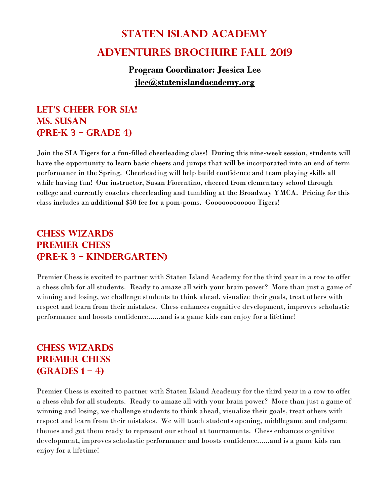# **Staten Island Academy Adventures Brochure Fall 2019**

#### **Program Coordinator: Jessica Lee [jlee@statenislandacademy.org](mailto:Jlee@statenislandacademy.org)**

#### **Let's cheer for SIA! Ms. Susan (Pre-K 3 – Grade 4)**

Join the SIA Tigers for a fun-filled cheerleading class! During this nine-week session, students will have the opportunity to learn basic cheers and jumps that will be incorporated into an end of term performance in the Spring. Cheerleading will help build confidence and team playing skills all while having fun! Our instructor, Susan Fiorentino, cheered from elementary school through college and currently coaches cheerleading and tumbling at the Broadway YMCA. Pricing for this class includes an additional \$50 fee for a pom-poms. Goooooooooooo Tigers!

#### **Chess Wizards Premier Chess (Pre-K 3 – Kindergarten)**

Premier Chess is excited to partner with Staten Island Academy for the third year in a row to offer a chess club for all students. Ready to amaze all with your brain power? More than just a game of winning and losing, we challenge students to think ahead, visualize their goals, treat others with respect and learn from their mistakes. Chess enhances cognitive development, improves scholastic performance and boosts confidence......and is a game kids can enjoy for a lifetime!

#### **Chess Wizards Premier Chess (Grades 1 – 4)**

Premier Chess is excited to partner with Staten Island Academy for the third year in a row to offer a chess club for all students. Ready to amaze all with your brain power? More than just a game of winning and losing, we challenge students to think ahead, visualize their goals, treat others with respect and learn from their mistakes. We will teach students opening, middlegame and endgame themes and get them ready to represent our school at tournaments. Chess enhances cognitive development, improves scholastic performance and boosts confidence......and is a game kids can enjoy for a lifetime!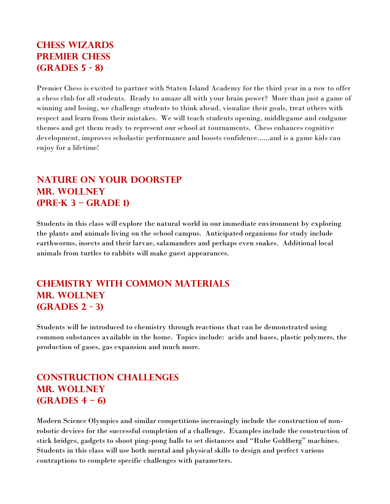#### **Chess Wizards Premier Chess (Grades 5 - 8)**

Premier Chess is excited to partner with Staten Island Academy for the third year in a row to offer a chess club for all students. Ready to amaze all with your brain power? More than just a game of winning and losing, we challenge students to think ahead, visualize their goals, treat others with respect and learn from their mistakes. We will teach students opening, middlegame and endgame themes and get them ready to represent our school at tournaments. Chess enhances cognitive development, improves scholastic performance and boosts confidence......and is a game kids can enjoy for a lifetime!

#### **Nature on Your Doorstep Mr. Wollney (Pre-K 3 – Grade 1)**

Students in this class will explore the natural world in our immediate environment by exploring the plants and animals living on the school campus. Anticipated organisms for study include earthworms, insects and their larvae, salamanders and perhaps even snakes. Additional local animals from turtles to rabbits will make guest appearances.

#### **Chemistry with Common Materials Mr. Wollney (Grades 2 - 3)**

Students will be introduced to chemistry through reactions that can be demonstrated using common substances available in the home. Topics include: acids and bases, plastic polymers, the production of gases, gas expansion and much more.

#### **Construction Challenges Mr. Wollney (Grades 4 – 6)**

Modern Science Olympics and similar competitions increasingly include the construction of nonrobotic devices for the successful completion of a challenge. Examples include the construction of stick bridges, gadgets to shoot ping-pong balls to set distances and "Rube Goldberg" machines. Students in this class will use both mental and physical skills to design and perfect various contraptions to complete specific challenges with parameters.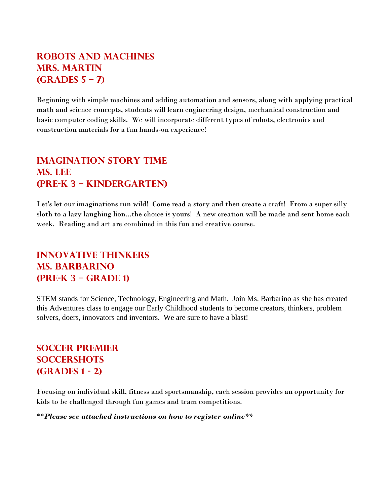#### **Robots and Machines Mrs. MArtin (Grades 5 – 7)**

Beginning with simple machines and adding automation and sensors, along with applying practical math and science concepts, students will learn engineering design, mechanical construction and basic computer coding skills. We will incorporate different types of robots, electronics and construction materials for a fun hands-on experience!

#### **Imagination Story Time Ms. LEe (Pre-K 3 – Kindergarten)**

Let's let our imaginations run wild! Come read a story and then create a craft! From a super silly sloth to a lazy laughing lion...the choice is yours! A new creation will be made and sent home each week. Reading and art are combined in this fun and creative course.

#### **Innovative Thinkers Ms. Barbarino (Pre-K 3 – Grade 1)**

STEM stands for Science, Technology, Engineering and Math. Join Ms. Barbarino as she has created this Adventures class to engage our Early Childhood students to become creators, thinkers, problem solvers, doers, innovators and inventors. We are sure to have a blast!

#### **Soccer Premier Soccershots (Grades 1 - 2)**

Focusing on individual skill, fitness and sportsmanship, each session provides an opportunity for kids to be challenged through fun games and team competitions.

\*\**Please see attached instructions on how to register online\*\**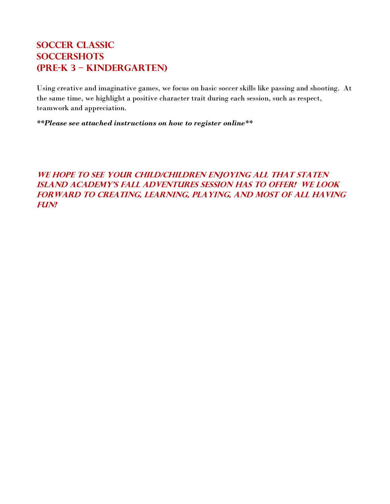#### **Soccer Classic Soccershots (Pre-K 3 – Kindergarten)**

Using creative and imaginative games, we focus on basic soccer skills like passing and shooting. At the same time, we highlight a positive character trait during each session, such as respect, teamwork and appreciation.

*\*\*Please see attached instructions on how to register online\*\**

#### WE HOPE TO SEE YOUR CHILD/CHILDREN ENJOYING ALL THAT STATEN **island academy's Fall adventures session has to offer! We look forward to creating, learning, playing, and most of all having fun!**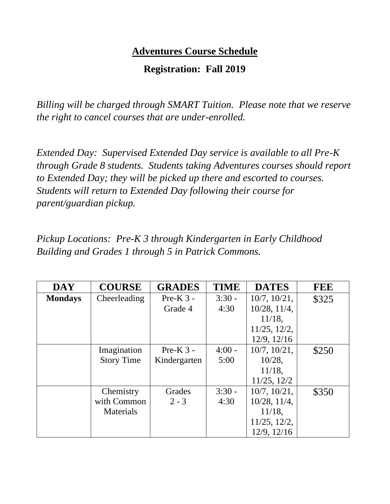### **Adventures Course Schedule**

#### **Registration: Fall 2019**

*Billing will be charged through SMART Tuition. Please note that we reserve the right to cancel courses that are under-enrolled.*

*Extended Day: Supervised Extended Day service is available to all Pre-K through Grade 8 students. Students taking Adventures courses should report to Extended Day; they will be picked up there and escorted to courses. Students will return to Extended Day following their course for parent/guardian pickup.*

*Pickup Locations: Pre-K 3 through Kindergarten in Early Childhood Building and Grades 1 through 5 in Patrick Commons.*

| <b>DAY</b>     | <b>COURSE</b>     | <b>GRADES</b> | <b>TIME</b> | <b>DATES</b>       | <b>FEE</b> |
|----------------|-------------------|---------------|-------------|--------------------|------------|
| <b>Mondays</b> | Cheerleading      | Pre-K $3$ -   | $3:30 -$    | $10/7$ , $10/21$ , | \$325      |
|                |                   | Grade 4       | 4:30        | 10/28, 11/4,       |            |
|                |                   |               |             | $11/18$ ,          |            |
|                |                   |               |             | $11/25$ , $12/2$ , |            |
|                |                   |               |             | 12/9, 12/16        |            |
|                | Imagination       | Pre-K $3$ -   | $4:00 -$    | $10/7$ , $10/21$ , | \$250      |
|                | <b>Story Time</b> | Kindergarten  | 5:00        | $10/28$ ,          |            |
|                |                   |               |             | $11/18$ ,          |            |
|                |                   |               |             | 11/25, 12/2        |            |
|                | Chemistry         | Grades        | $3:30 -$    | $10/7$ , $10/21$ , | \$350      |
|                | with Common       | $2 - 3$       | 4:30        | 10/28, 11/4,       |            |
|                | Materials         |               |             | $11/18$ ,          |            |
|                |                   |               |             | $11/25$ , $12/2$ , |            |
|                |                   |               |             | 12/9, 12/16        |            |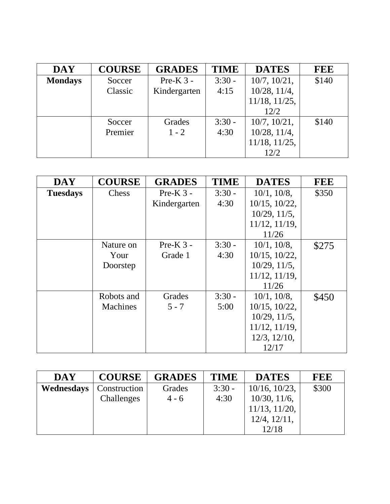| <b>DAY</b>     | <b>COURSE</b> | <b>GRADES</b> | <b>TIME</b> | <b>DATES</b>        | FEE   |
|----------------|---------------|---------------|-------------|---------------------|-------|
| <b>Mondays</b> | Soccer        | Pre-K $3$ -   | $3:30 -$    | $10/7$ , $10/21$ ,  | \$140 |
|                | Classic       | Kindergarten  | 4:15        | $10/28$ , $11/4$ ,  |       |
|                |               |               |             | $11/18$ , $11/25$ , |       |
|                |               |               |             | 12/2                |       |
|                | Soccer        | Grades        | $3:30 -$    | $10/7$ , $10/21$ ,  | \$140 |
|                | Premier       | $1 - 2$       | 4:30        | $10/28$ , $11/4$ ,  |       |
|                |               |               |             | $11/18$ , $11/25$ , |       |
|                |               |               |             | 12/2                |       |

| <b>DAY</b>      | <b>COURSE</b>   | <b>GRADES</b> | <b>TIME</b> | <b>DATES</b>        | <b>FEE</b> |
|-----------------|-----------------|---------------|-------------|---------------------|------------|
| <b>Tuesdays</b> | Chess           | $Pre-K 3 -$   | $3:30 -$    | $10/1$ , $10/8$ ,   | \$350      |
|                 |                 | Kindergarten  | 4:30        | $10/15$ , $10/22$ , |            |
|                 |                 |               |             | $10/29$ , $11/5$ ,  |            |
|                 |                 |               |             | $11/12$ , $11/19$ , |            |
|                 |                 |               |             | 11/26               |            |
|                 | Nature on       | $Pre-K 3 -$   | $3:30 -$    | $10/1$ , $10/8$ ,   | \$275      |
|                 | Your            | Grade 1       | 4:30        | $10/15$ , $10/22$ , |            |
|                 | Doorstep        |               |             | $10/29$ , $11/5$ ,  |            |
|                 |                 |               |             | 11/12, 11/19,       |            |
|                 |                 |               |             | 11/26               |            |
|                 | Robots and      | Grades        | $3:30 -$    | $10/1$ , $10/8$ ,   | \$450      |
|                 | <b>Machines</b> | $5 - 7$       | 5:00        | $10/15$ , $10/22$ , |            |
|                 |                 |               |             | $10/29$ , $11/5$ ,  |            |
|                 |                 |               |             | 11/12, 11/19,       |            |
|                 |                 |               |             | $12/3$ , $12/10$ ,  |            |
|                 |                 |               |             | 12/17               |            |

| <b>DAY</b> | <b>COURSE</b> | <b>GRADES</b> | <b>TIME</b> | <b>DATES</b>        | <b>FEE</b> |
|------------|---------------|---------------|-------------|---------------------|------------|
| Wednesdays | Construction  | Grades        | $3:30 -$    | $10/16$ , $10/23$ , | \$300      |
|            | Challenges    | $4 - 6$       | 4:30        | $10/30$ , $11/6$ ,  |            |
|            |               |               |             | $11/13$ , $11/20$ , |            |
|            |               |               |             | $12/4$ , $12/11$ ,  |            |
|            |               |               |             | 12/18               |            |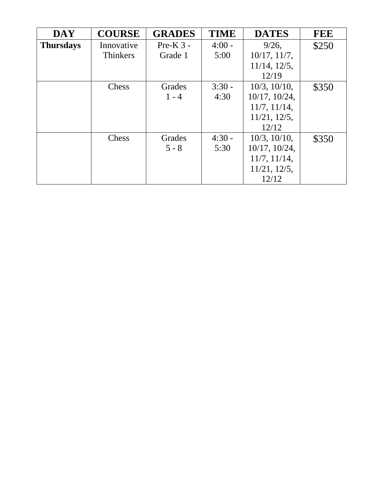| <b>DAY</b>       | <b>COURSE</b>   | <b>GRADES</b> | <b>TIME</b> | <b>DATES</b>        | <b>FEE</b> |
|------------------|-----------------|---------------|-------------|---------------------|------------|
| <b>Thursdays</b> | Innovative      | Pre-K $3$ -   | $4:00 -$    | $9/26$ ,            | \$250      |
|                  | <b>Thinkers</b> | Grade 1       | 5:00        | $10/17$ , $11/7$ ,  |            |
|                  |                 |               |             | $11/14$ , $12/5$ ,  |            |
|                  |                 |               |             | 12/19               |            |
|                  | Chess           | Grades        | $3:30 -$    | $10/3$ , $10/10$ ,  | \$350      |
|                  |                 | $1 - 4$       | 4:30        | $10/17$ , $10/24$ , |            |
|                  |                 |               |             | 11/7, 11/14,        |            |
|                  |                 |               |             | $11/21$ , $12/5$ ,  |            |
|                  |                 |               |             | 12/12               |            |
|                  | Chess           | Grades        | $4:30 -$    | $10/3$ , $10/10$ ,  | \$350      |
|                  |                 | $5 - 8$       | 5:30        | $10/17$ , $10/24$ , |            |
|                  |                 |               |             | $11/7$ , $11/14$ ,  |            |
|                  |                 |               |             | $11/21$ , $12/5$ ,  |            |
|                  |                 |               |             | 12/12               |            |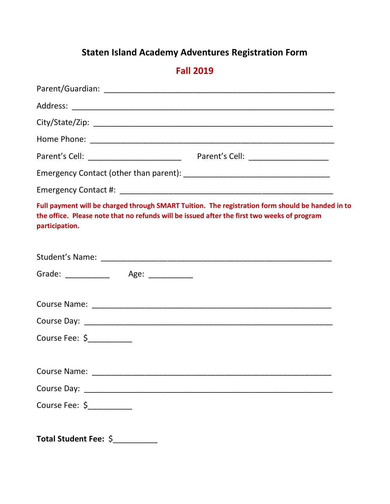# **Staten Island Academy Adventures Registration Form**

## **Fall 2019**

| Full payment will be charged through SMART Tuition. The registration form should be handed in to<br>the office. Please note that no refunds will be issued after the first two weeks of program<br>participation. |
|-------------------------------------------------------------------------------------------------------------------------------------------------------------------------------------------------------------------|
|                                                                                                                                                                                                                   |
| Grade: _____________ Age: __________                                                                                                                                                                              |
|                                                                                                                                                                                                                   |
|                                                                                                                                                                                                                   |
| Course Fee: \$                                                                                                                                                                                                    |
|                                                                                                                                                                                                                   |
|                                                                                                                                                                                                                   |
| Course Fee: \$____________                                                                                                                                                                                        |
| Total Student Fee: \$__________                                                                                                                                                                                   |